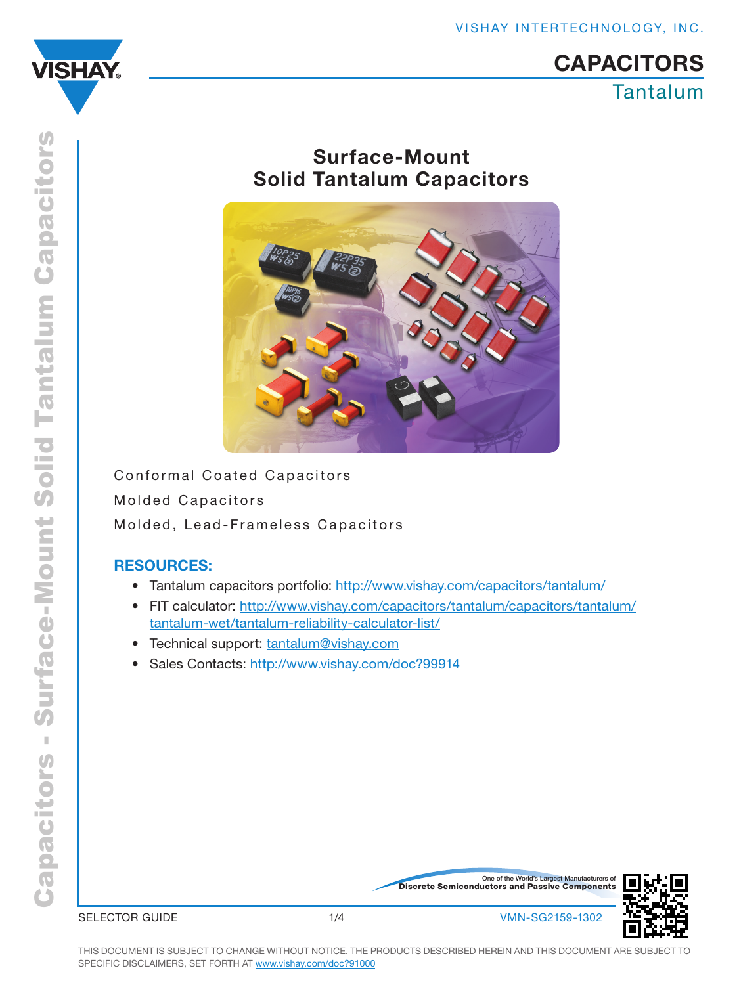

# Tantalum **CAPACITORS**

# Surface-Mount Solid Tantalum Capacitors



Conformal Coated Capacitors Molded Capacitors Molded, Lead-Frameless Capacitors

## RESOURCES:

- Tantalum capacitors portfolio: http://www.vishay.com/capacitors/tantalum/
- FIT calculator: http://www.vishay.com/capacitors/tantalum/capacitors/tantalum/ tantalum-wet/tantalum-reliability-calculator-list/
- Technical support: tantalum@vishay.com
- Sales Contacts: http://www.vishay.com/doc?99914

Discrete Semiconductors and Passive Components One of the World's Largest Manufacturers of



SELECTOR GUIDE  $1/4$  1/4 VMN-SG2159-1302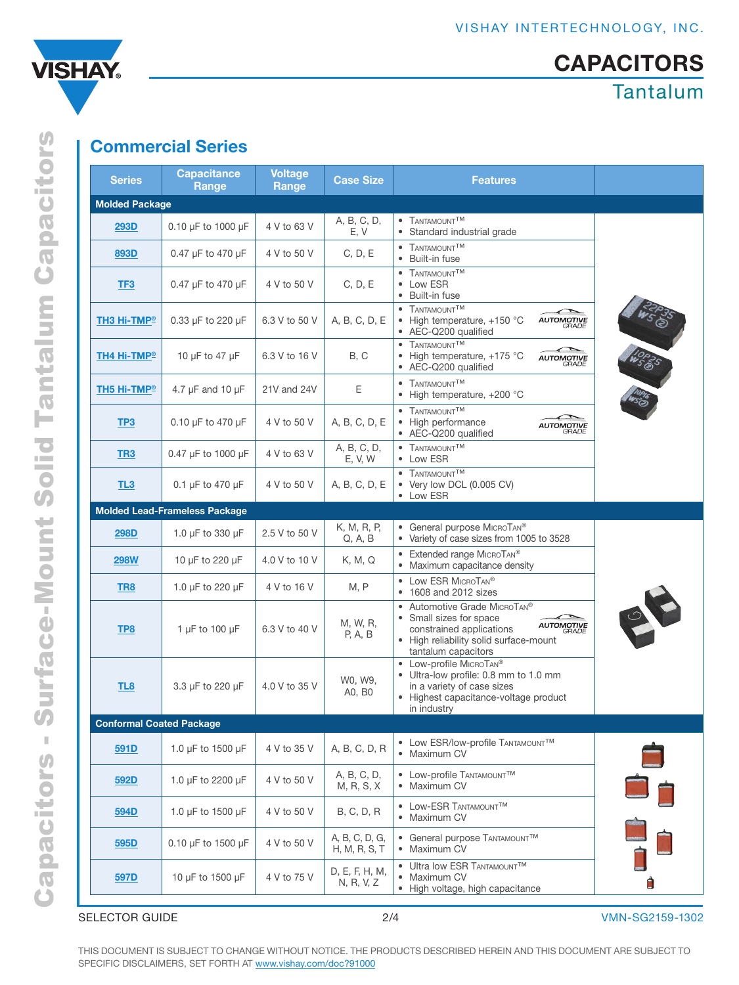

# **CAPACITORS**

Tantalum

# Commercial Series

| <b>Series</b>                   | <b>Capacitance</b><br>Range          | <b>Voltage</b><br>Range | <b>Case Size</b>                | <b>Features</b>                                                                                                                                                                    |   |
|---------------------------------|--------------------------------------|-------------------------|---------------------------------|------------------------------------------------------------------------------------------------------------------------------------------------------------------------------------|---|
| <b>Molded Package</b>           |                                      |                         |                                 |                                                                                                                                                                                    |   |
| <b>293D</b>                     | 0.10 µF to 1000 µF                   | 4 V to 63 V             | A, B, C, D,<br>E, V             | • TANTAMOUNT <sup>TM</sup><br>• Standard industrial grade                                                                                                                          |   |
| 893D                            | 0.47 µF to 470 µF                    | 4 V to 50 V             | C, D, E                         | • TANTAMOUNT <sup>TM</sup><br>• Built-in fuse                                                                                                                                      |   |
| TF3                             | 0.47 µF to 470 µF                    | 4 V to 50 V             | C, D, E                         | • TANTAMOUNT <sup>TM</sup><br>• Low ESR<br>• Built-in fuse                                                                                                                         |   |
| <b>TH3 Hi-TMP</b> <sup>®</sup>  | 0.33 µF to 220 µF                    | 6.3 V to 50 V           | A, B, C, D, E                   | • TANTAMOUNT <sup>TM</sup><br><b>AUTOMOTIVE</b><br>• High temperature, +150 °C<br>• AEC-Q200 qualified                                                                             |   |
| TH4 Hi-TMP®                     | 10 µF to 47 µF                       | 6.3 V to 16 V           | B, C                            | • TANTAMOUNT <sup>TM</sup><br>• High temperature, +175 °C<br><b>AUTOMOTIVE</b><br>GRADE<br>• AEC-Q200 qualified                                                                    |   |
| TH5 Hi-TMP®                     | 4.7 $\mu$ F and 10 $\mu$ F           | 21V and 24V             | Ε                               | • TANTAMOUNT <sup>TM</sup><br>• High temperature, +200 °C                                                                                                                          |   |
| TP <sub>3</sub>                 | 0.10 µF to 470 µF                    | 4 V to 50 V             | A, B, C, D, E                   | • TANTAMOUNT <sup>TM</sup><br>• High performance<br><b>AUTOMOTIVE</b><br>GRADE<br>• AEC-Q200 qualified                                                                             |   |
| TR <sub>3</sub>                 | 0.47 µF to 1000 µF                   | 4 V to 63 V             | A, B, C, D,<br>E, V, W          | • TANTAMOUNT <sup>TM</sup><br>• Low ESR                                                                                                                                            |   |
| TL3                             | 0.1 µF to 470 µF                     | 4 V to 50 V             | A, B, C, D, E                   | $\bullet$ TANTAMOUNT <sup>TM</sup><br>• Very low DCL (0.005 CV)<br>• Low ESR                                                                                                       |   |
|                                 | <b>Molded Lead-Frameless Package</b> |                         |                                 |                                                                                                                                                                                    |   |
| <b>298D</b>                     | 1.0 µF to 330 µF                     | 2.5 V to 50 V           | K, M, R, P,<br>Q, A, B          | • General purpose MICROTAN®<br>• Variety of case sizes from 1005 to 3528                                                                                                           |   |
| <b>298W</b>                     | 10 µF to 220 µF                      | 4.0 V to 10 V           | K, M, Q                         | • Extended range MICROTAN®<br>• Maximum capacitance density                                                                                                                        |   |
| TR8                             | 1.0 µF to 220 µF                     | 4 V to 16 V             | M, P                            | • Low ESR MICROTAN®<br>• 1608 and 2012 sizes                                                                                                                                       |   |
| TP8                             | 1 µF to 100 µF                       | 6.3 V to 40 V           | M, W, R,<br>P, A, B             | • Automotive Grade MICROTAN®<br>• Small sizes for space<br><b>AUTOMOTIVE</b><br>constrained applications<br>GRADE<br>• High reliability solid surface-mount<br>tantalum capacitors | 2 |
| TL8                             | 3.3 µF to 220 µF                     | 4.0 V to 35 V           | W0, W9,<br>A0, B0               | • Low-profile MICROTAN®<br>· Ultra-low profile: 0.8 mm to 1.0 mm<br>in a variety of case sizes<br>• Highest capacitance-voltage product<br>in industry                             |   |
| <b>Conformal Coated Package</b> |                                      |                         |                                 |                                                                                                                                                                                    |   |
| 591D                            | 1.0 µF to 1500 µF                    | 4 V to 35 V             | A, B, C, D, R                   | • Low ESR/low-profile TANTAMOUNTTM<br>• Maximum CV                                                                                                                                 |   |
| 592D                            | 1.0 µF to 2200 µF                    | 4 V to 50 V             | A, B, C, D,<br>M, R, S, X       | • Low-profile TANTAMOUNTTM<br>• Maximum CV                                                                                                                                         |   |
| 594D                            | 1.0 µF to 1500 µF                    | 4 V to 50 V             | B, C, D, R                      | • LOW-ESR TANTAMOUNT <sup>TM</sup><br>• Maximum CV                                                                                                                                 |   |
| 595D                            | 0.10 µF to 1500 µF                   | 4 V to 50 V             | A, B, C, D, G,<br>H, M, R, S, T | • General purpose TANTAMOUNTTM<br>• Maximum CV                                                                                                                                     |   |
| 597D                            | 10 µF to 1500 µF                     | 4 V to 75 V             | D, E, F, H, M,<br>N, R, V, Z    | • Ultra low ESR TANTAMOUNTTM<br>• Maximum CV<br>• High voltage, high capacitance                                                                                                   |   |

THIS DOCUMENT IS SUBJECT TO CHANGE WITHOUT NOTICE. THE PRODUCTS DESCRIBED HEREIN AND THIS DOCUMENT ARE SUBJECT TO SPECIFIC DISCLAIMERS, SET FORTH AT [www.vishay.com/doc?91000](http://www.vishay.com/doc?91000)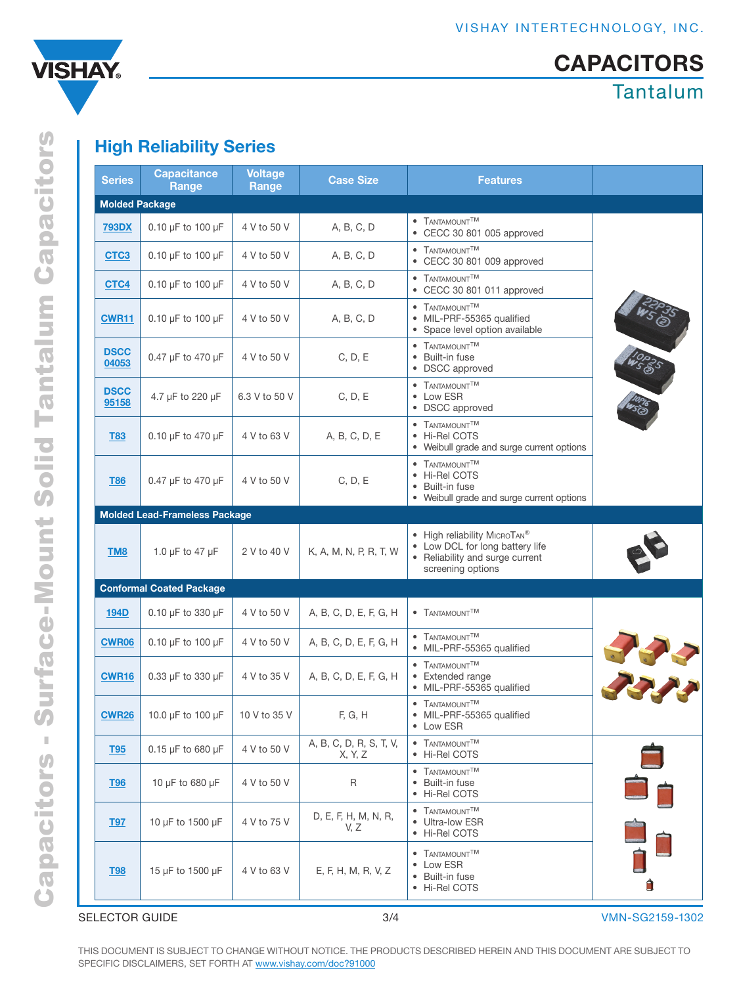



# **Surface-Mount Solid Tantalum Capacitors** Capacitors - Surface-Mount Solid Tantalum Capacitors  $\bar{\mathbb{I}}$ **Capacitors**

# High Reliability Series

| <b>Series</b>         | <b>Capacitance</b><br>Range          | <b>Voltage</b><br>Range | <b>Case Size</b>                   | <b>Features</b>                                                                                                         |     |  |  |  |  |  |
|-----------------------|--------------------------------------|-------------------------|------------------------------------|-------------------------------------------------------------------------------------------------------------------------|-----|--|--|--|--|--|
| <b>Molded Package</b> |                                      |                         |                                    |                                                                                                                         |     |  |  |  |  |  |
| <b>793DX</b>          | 0.10 µF to 100 µF                    | 4 V to 50 V             | A, B, C, D                         | • TANTAMOUNT <sup>TM</sup><br>• CECC 30 801 005 approved                                                                |     |  |  |  |  |  |
| CTC <sub>3</sub>      | $0.10 \mu F$ to $100 \mu F$          | 4 V to 50 V             | A, B, C, D                         | • TANTAMOUNTTM<br>• CECC 30 801 009 approved                                                                            |     |  |  |  |  |  |
| CTC4                  | 0.10 µF to 100 µF                    | 4 V to 50 V             | A, B, C, D                         | • TANTAMOUNT <sup>TM</sup><br>• CECC 30 801 011 approved                                                                |     |  |  |  |  |  |
| <b>CWR11</b>          | $0.10 \mu F$ to $100 \mu F$          | 4 V to 50 V             | A, B, C, D                         | • TANTAMOUNT <sup>TM</sup><br>· MIL-PRF-55365 qualified<br>• Space level option available                               |     |  |  |  |  |  |
| <b>DSCC</b><br>04053  | 0.47 µF to 470 µF                    | 4 V to 50 V             | C, D, E                            | • TANTAMOUNT <sup>TM</sup><br>• Built-in fuse<br>• DSCC approved                                                        |     |  |  |  |  |  |
| <b>DSCC</b><br>95158  | 4.7 µF to 220 µF                     | 6.3 V to 50 V           | C, D, E                            | • TANTAMOUNT <sup>TM</sup><br>• Low ESR<br>• DSCC approved                                                              |     |  |  |  |  |  |
| <b>T83</b>            | 0.10 µF to 470 µF                    | 4 V to 63 V             | A, B, C, D, E                      | • TANTAMOUNT <sup>TM</sup><br>• Hi-Rel COTS<br>• Weibull grade and surge current options                                |     |  |  |  |  |  |
| <b>T86</b>            | 0.47 µF to 470 µF                    | 4 V to 50 V             | C, D, E                            | • TANTAMOUNTTM<br>• Hi-Rel COTS<br>• Built-in fuse<br>• Weibull grade and surge current options                         |     |  |  |  |  |  |
|                       | <b>Molded Lead-Frameless Package</b> |                         |                                    |                                                                                                                         |     |  |  |  |  |  |
| TM <sub>8</sub>       | 1.0 $\mu$ F to 47 $\mu$ F            | 2 V to 40 V             | K, A, M, N, P, R, T, W             | • High reliability MICROTAN®<br>• Low DCL for long battery life<br>• Reliability and surge current<br>screening options |     |  |  |  |  |  |
|                       | <b>Conformal Coated Package</b>      |                         |                                    |                                                                                                                         |     |  |  |  |  |  |
| <b>194D</b>           | 0.10 µF to 330 µF                    | 4 V to 50 V             | A, B, C, D, E, F, G, H             | • TANTAMOUNTTM                                                                                                          |     |  |  |  |  |  |
| <b>CWR06</b>          | 0.10 µF to 100 µF                    | 4 V to 50 V             | A, B, C, D, E, F, G, H             | • TANTAMOUNTTM<br>· MIL-PRF-55365 qualified                                                                             |     |  |  |  |  |  |
| CWR <sub>16</sub>     | 0.33 µF to 330 µF                    | 4 V to 35 V             | A, B, C, D, E, F, G, H             | • TANTAMOUNT <sup>TM</sup><br>• Extended range<br>· MIL-PRF-55365 qualified                                             | JAN |  |  |  |  |  |
| <b>CWR26</b>          | 10.0 µF to 100 µF                    | 10 V to 35 V            | F, G, H                            | • TANTAMOUNT <sup>TM</sup><br>· MIL-PRF-55365 qualified<br>• Low ESR                                                    |     |  |  |  |  |  |
| <b>T95</b>            | 0.15 µF to 680 µF                    | 4 V to 50 V             | A, B, C, D, R, S, T, V,<br>X, Y, Z | • TANTAMOUNT <sup>TM</sup><br>• Hi-Rel COTS                                                                             |     |  |  |  |  |  |
| <b>T96</b>            | 10 µF to 680 µF                      | 4 V to 50 V             | $\sf R$                            | • TANTAMOUNTTM<br>• Built-in fuse<br>• Hi-Rel COTS                                                                      |     |  |  |  |  |  |
| <b>T97</b>            | 10 µF to 1500 µF                     | 4 V to 75 V             | D, E, F, H, M, N, R,<br>V, Z       | • TANTAMOUNT <sup>TM</sup><br>• Ultra-low ESR<br>• Hi-Rel COTS                                                          |     |  |  |  |  |  |
| <b>T98</b>            | 15 µF to 1500 µF                     | 4 V to 63 V             | E, F, H, M, R, V, Z                | • TANTAMOUNT <sup>TM</sup><br>• Low ESR<br>• Built-in fuse<br>• Hi-Rel COTS                                             |     |  |  |  |  |  |

SELECTOR GUIDE 3/4 VMN-SG2159-1302

THIS DOCUMENT IS SUBJECT TO CHANGE WITHOUT NOTICE. THE PRODUCTS DESCRIBED HEREIN AND THIS DOCUMENT ARE SUBJECT TO SPECIFIC DISCLAIMERS, SET FORTH AT [www.vishay.com/doc?91000](http://www.vishay.com/doc?91000)